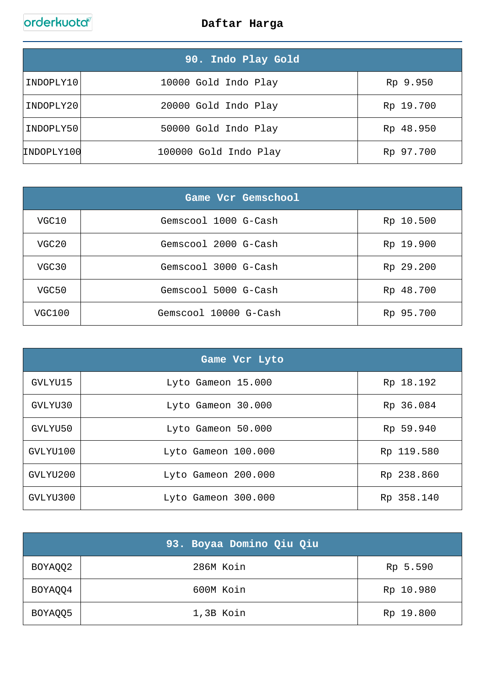|            | 90. Indo Play Gold,   |           |
|------------|-----------------------|-----------|
| INDOPLY10  | 10000 Gold Indo Play  | Rp 9.950  |
| INDOPLY20  | 20000 Gold Indo Play  | Rp 19.700 |
| INDOPLY50  | 50000 Gold Indo Play  | Rp 48.950 |
| INDOPLY100 | 100000 Gold Indo Play | Rp 97.700 |

|        | Game Vcr Gemschool    |           |
|--------|-----------------------|-----------|
| VGC10  | Gemscool 1000 G-Cash  | Rp 10.500 |
| VGC20  | Gemscool 2000 G-Cash  | Rp 19.900 |
| VGC30  | Gemscool 3000 G-Cash  | Rp 29.200 |
| VGC50  | Gemscool 5000 G-Cash  | Rp 48.700 |
| VGC100 | Gemscool 10000 G-Cash | Rp 95.700 |

| Game Vcr Lyto |                     |            |
|---------------|---------------------|------------|
| GVLYU15       | Lyto Gameon 15.000  | Rp 18.192  |
| GVLYU30       | Lyto Gameon 30.000  | Rp 36.084  |
| GVLYU50       | Lyto Gameon 50.000  | Rp 59.940  |
| GVLYU100      | Lyto Gameon 100.000 | Rp 119.580 |
| GVLYU200      | Lyto Gameon 200.000 | Rp 238.860 |
| GVLYU300      | Lyto Gameon 300.000 | Rp 358.140 |

|         | 93. Boyaa Domino Qiu Qiu |           |
|---------|--------------------------|-----------|
| BOYAQQ2 | 286M Koin                | Rp 5.590  |
| BOYAQQ4 | 600M Koin                | Rp 10.980 |
| BOYAQQ5 | 1,3B Koin                | Rp 19.800 |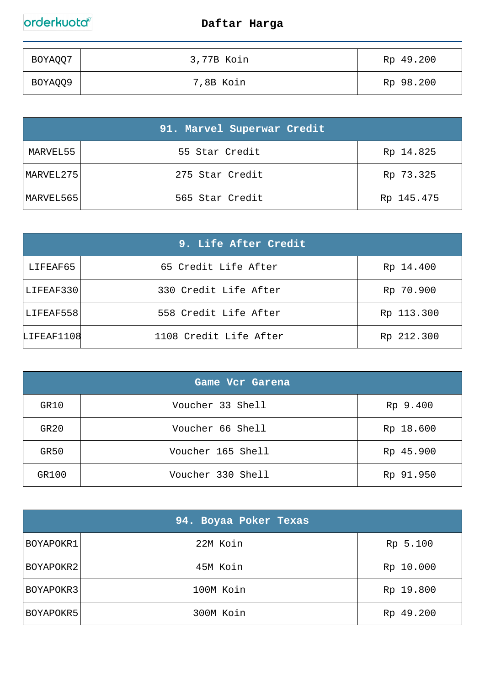| BOYAQQ7 | 3,77B Koin | Rp 49.200 |
|---------|------------|-----------|
| BOYAQQ9 | 7,8B Koin  | Rp 98.200 |

|           | 91. Marvel Superwar Credit |            |
|-----------|----------------------------|------------|
| MARVEL55  | 55 Star Credit             | Rp 14.825  |
| MARVEL275 | 275 Star Credit            | Rp 73.325  |
| MARVEL565 | 565 Star Credit            | Rp 145.475 |

|            | 9. Life After Credit   |            |
|------------|------------------------|------------|
| LIFEAF65   | 65 Credit Life After   | Rp 14.400  |
| LIFEAF330  | 330 Credit Life After  | Rp 70.900  |
| LIFEAF558  | 558 Credit Life After  | Rp 113.300 |
| LIFEAF1108 | 1108 Credit Life After | Rp 212.300 |

|       | Game Vcr Garena   |           |
|-------|-------------------|-----------|
| GR10  | Voucher 33 Shell  | Rp 9.400  |
| GR20  | Voucher 66 Shell  | Rp 18.600 |
| GR50  | Voucher 165 Shell | Rp 45.900 |
| GR100 | Voucher 330 Shell | Rp 91.950 |

|           | 94. Boyaa Poker Texas |           |
|-----------|-----------------------|-----------|
| BOYAPOKR1 | 22M Koin              | Rp 5.100  |
| BOYAPOKR2 | 45M Koin              | Rp 10.000 |
| BOYAPOKR3 | 100M Koin             | Rp 19.800 |
| BOYAPOKR5 | 300M Koin             | Rp 49.200 |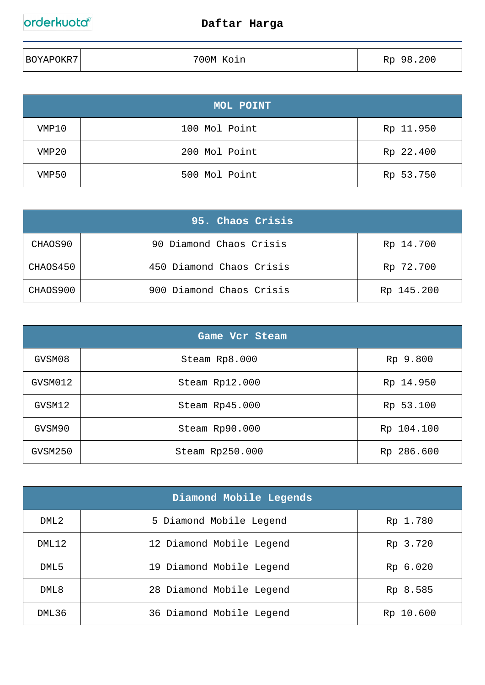| BOYAPOKR7 | 700M Koin | 0.200<br>98<br>Rp |
|-----------|-----------|-------------------|
|           |           |                   |

|       | MOL POINT     |           |
|-------|---------------|-----------|
| VMP10 | 100 Mol Point | Rp 11.950 |
| VMP20 | 200 Mol Point | Rp 22.400 |
| VMP50 | 500 Mol Point | Rp 53.750 |

|          | 95. Chaos Crisis         |            |
|----------|--------------------------|------------|
| CHAOS90  | 90 Diamond Chaos Crisis  | Rp 14.700  |
| CHAOS450 | 450 Diamond Chaos Crisis | Rp 72.700  |
| CHAOS900 | 900 Diamond Chaos Crisis | Rp 145.200 |

| Game Vcr Steam |                 |            |
|----------------|-----------------|------------|
| GVSM08         | Steam Rp8.000   | Rp 9.800   |
| GVSM012        | Steam Rp12.000  | Rp 14.950  |
| GVSM12         | Steam Rp45.000  | Rp 53.100  |
| GVSM90         | Steam Rp90.000  | Rp 104.100 |
| GVSM250        | Steam Rp250.000 | Rp 286.600 |

| Diamond Mobile Legends |                          |           |
|------------------------|--------------------------|-----------|
| DML <sub>2</sub>       | 5 Diamond Mobile Legend  | Rp 1.780  |
| DML12                  | 12 Diamond Mobile Legend | Rp 3.720  |
| DML5                   | 19 Diamond Mobile Legend | Rp 6.020  |
| DML8                   | 28 Diamond Mobile Legend | Rp 8.585  |
| DML36                  | 36 Diamond Mobile Legend | Rp 10.600 |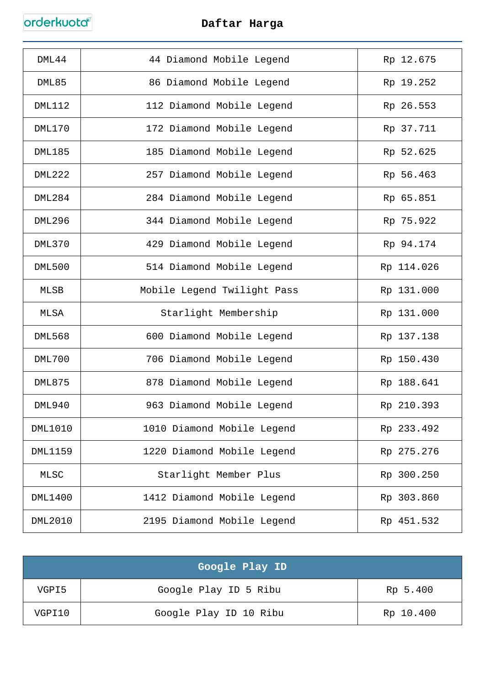| DML44          | 44 Diamond Mobile Legend    | Rp 12.675  |
|----------------|-----------------------------|------------|
| DML85          | 86 Diamond Mobile Legend    | Rp 19.252  |
| <b>DML112</b>  | 112 Diamond Mobile Legend   | Rp 26.553  |
| <b>DML170</b>  | 172 Diamond Mobile Legend   | Rp 37.711  |
| <b>DML185</b>  | 185 Diamond Mobile Legend   | Rp 52.625  |
| <b>DML222</b>  | 257 Diamond Mobile Legend   | Rp 56.463  |
| <b>DML284</b>  | 284 Diamond Mobile Legend   | Rp 65.851  |
| <b>DML296</b>  | 344 Diamond Mobile Legend   | Rp 75.922  |
| <b>DML370</b>  | 429 Diamond Mobile Legend   | Rp 94.174  |
| <b>DML500</b>  | 514 Diamond Mobile Legend   | Rp 114.026 |
| MLSB           | Mobile Legend Twilight Pass | Rp 131.000 |
| <b>MLSA</b>    | Starlight Membership        | Rp 131.000 |
| <b>DML568</b>  | 600 Diamond Mobile Legend   | Rp 137.138 |
| <b>DML700</b>  | 706 Diamond Mobile Legend   | Rp 150.430 |
| <b>DML875</b>  | 878 Diamond Mobile Legend   | Rp 188.641 |
| <b>DML940</b>  | 963 Diamond Mobile Legend   | Rp 210.393 |
| <b>DML1010</b> | 1010 Diamond Mobile Legend  | Rp 233.492 |
| <b>DML1159</b> | 1220 Diamond Mobile Legend  | Rp 275.276 |
| MLSC           | Starlight Member Plus       | Rp 300.250 |
| DML1400        | 1412 Diamond Mobile Legend  | Rp 303.860 |
| <b>DML2010</b> | 2195 Diamond Mobile Legend  | Rp 451.532 |

|        | Google Play ID         |           |
|--------|------------------------|-----------|
| VGPI5  | Google Play ID 5 Ribu  | Rp 5.400  |
| VGPI10 | Google Play ID 10 Ribu | Rp 10.400 |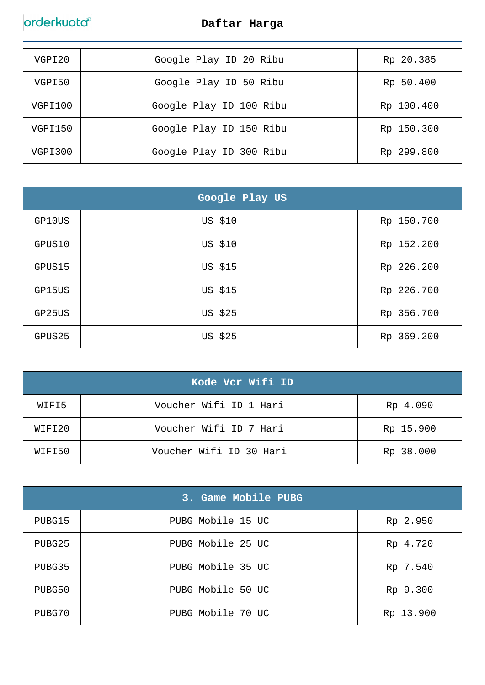| VGPI20  | Google Play ID 20 Ribu  | Rp 20.385  |
|---------|-------------------------|------------|
| VGPI50  | Google Play ID 50 Ribu  | Rp 50.400  |
| VGPI100 | Google Play ID 100 Ribu | Rp 100.400 |
| VGPI150 | Google Play ID 150 Ribu | Rp 150.300 |
| VGPI300 | Google Play ID 300 Ribu | Rp 299.800 |

|        | Google Play US |            |
|--------|----------------|------------|
| GP10US | US \$10        | Rp 150.700 |
| GPUS10 | US \$10        | Rp 152.200 |
| GPUS15 | US \$15        | Rp 226.200 |
| GP15US | US \$15        | Rp 226.700 |
| GP25US | US \$25        | Rp 356.700 |
| GPUS25 | US \$25        | Rp 369.200 |

| Kode Vcr Wifi ID |                         |           |
|------------------|-------------------------|-----------|
| WIFI5            | Voucher Wifi ID 1 Hari  | Rp 4.090  |
| WIFI20           | Voucher Wifi ID 7 Hari  | Rp 15.900 |
| WIFI50           | Voucher Wifi ID 30 Hari | Rp 38.000 |

|        | 3. Game Mobile PUBG |           |
|--------|---------------------|-----------|
| PUBG15 | PUBG Mobile 15 UC   | Rp 2.950  |
| PUBG25 | PUBG Mobile 25 UC   | Rp 4.720  |
| PUBG35 | PUBG Mobile 35 UC   | Rp 7.540  |
| PUBG50 | PUBG Mobile 50 UC   | Rp 9.300  |
| PUBG70 | PUBG Mobile 70 UC   | Rp 13.900 |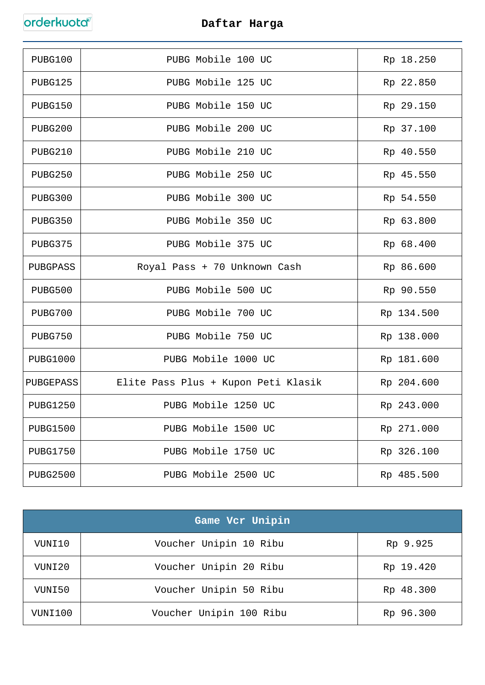| PUBG100         | PUBG Mobile 100 UC                  | Rp 18.250  |
|-----------------|-------------------------------------|------------|
| PUBG125         | PUBG Mobile 125 UC                  | Rp 22.850  |
| PUBG150         | PUBG Mobile 150 UC                  | Rp 29.150  |
| PUBG200         | PUBG Mobile 200 UC                  | Rp 37.100  |
| PUBG210         | PUBG Mobile 210 UC                  | Rp 40.550  |
| PUBG250         | PUBG Mobile 250 UC                  | Rp 45.550  |
| PUBG300         | PUBG Mobile 300 UC                  | Rp 54.550  |
| PUBG350         | PUBG Mobile 350 UC                  | Rp 63.800  |
| PUBG375         | PUBG Mobile 375 UC                  | Rp 68.400  |
| PUBGPASS        | Royal Pass + 70 Unknown Cash        | Rp 86.600  |
| PUBG500         | PUBG Mobile 500 UC                  | Rp 90.550  |
| PUBG700         | PUBG Mobile 700 UC                  | Rp 134.500 |
| PUBG750         | PUBG Mobile 750 UC                  | Rp 138.000 |
| <b>PUBG1000</b> | PUBG Mobile 1000 UC                 | Rp 181.600 |
| PUBGEPASS       | Elite Pass Plus + Kupon Peti Klasik | Rp 204.600 |
| <b>PUBG1250</b> | PUBG Mobile 1250 UC                 | Rp 243.000 |
| <b>PUBG1500</b> | PUBG Mobile 1500 UC                 | Rp 271.000 |
| <b>PUBG1750</b> | PUBG Mobile 1750 UC                 | Rp 326.100 |
| <b>PUBG2500</b> | PUBG Mobile 2500 UC                 | Rp 485.500 |

| Game Vcr Unipin |                         |           |
|-----------------|-------------------------|-----------|
| VUNI10          | Voucher Unipin 10 Ribu  | Rp 9.925  |
| VUNI20          | Voucher Unipin 20 Ribu  | Rp 19.420 |
| VUNI50          | Voucher Unipin 50 Ribu  | Rp 48.300 |
| VUNI100         | Voucher Unipin 100 Ribu | Rp 96.300 |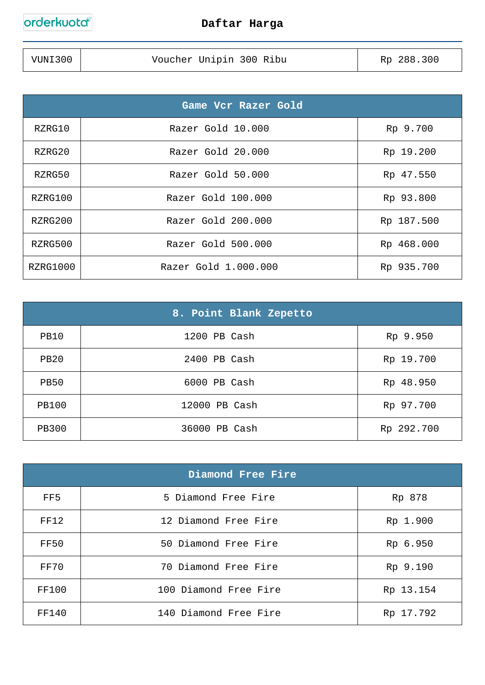| VUNI300 | Voucher Unipin 300 Ribu | Rp 288.300 |
|---------|-------------------------|------------|
|         |                         |            |

| Game Vcr Razer Gold |                      |            |
|---------------------|----------------------|------------|
| RZRG10              | Razer Gold 10.000    | Rp 9.700   |
| RZRG20              | Razer Gold 20.000    | Rp 19.200  |
| RZRG50              | Razer Gold 50.000    | Rp 47.550  |
| RZRG100             | Razer Gold 100.000   | Rp 93.800  |
| RZRG200             | Razer Gold 200.000   | Rp 187.500 |
| RZRG500             | Razer Gold 500.000   | Rp 468.000 |
| RZRG1000            | Razer Gold 1.000.000 | Rp 935.700 |

|              | 8. Point Blank Zepetto |            |
|--------------|------------------------|------------|
| PB10         | 1200 PB Cash           | Rp 9.950   |
| <b>PB20</b>  | 2400 PB Cash           | Rp 19.700  |
| <b>PB50</b>  | 6000 PB Cash           | Rp 48.950  |
| <b>PB100</b> | 12000 PB Cash          | Rp 97.700  |
| <b>PB300</b> | 36000 PB Cash          | Rp 292.700 |

| Diamond Free Fire |                       |           |
|-------------------|-----------------------|-----------|
| FF5               | 5 Diamond Free Fire   | Rp 878    |
| <b>FF12</b>       | 12 Diamond Free Fire  | Rp 1.900  |
| FF50              | 50 Diamond Free Fire  | Rp 6.950  |
| FF70              | 70 Diamond Free Fire  | Rp 9.190  |
| FF100             | 100 Diamond Free Fire | Rp 13.154 |
| FF140             | 140 Diamond Free Fire | Rp 17.792 |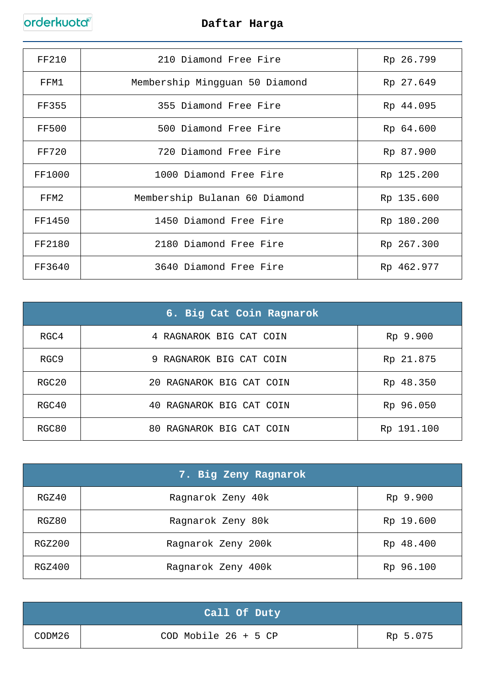| FF210        | 210 Diamond Free Fire          | Rp 26.799  |
|--------------|--------------------------------|------------|
| FFM1         | Membership Mingguan 50 Diamond | Rp 27.649  |
| <b>FF355</b> | 355 Diamond Free Fire          | Rp 44.095  |
| <b>FF500</b> | 500 Diamond Free Fire          | Rp 64.600  |
| FF720        | 720 Diamond Free Fire          | Rp 87.900  |
| FF1000       | 1000 Diamond Free Fire         | Rp 125.200 |
| FFM2         | Membership Bulanan 60 Diamond  | Rp 135.600 |
| FF1450       | 1450 Diamond Free Fire         | Rp 180.200 |
| FF2180       | 2180 Diamond Free Fire         | Rp 267.300 |
| FF3640       | 3640 Diamond Free Fire         | Rp 462.977 |

| 6. Big Cat Coin Ragnarok |                          |            |
|--------------------------|--------------------------|------------|
| RGC4                     | 4 RAGNAROK BIG CAT COIN  | Rp 9.900   |
| RGC <sub>9</sub>         | 9 RAGNAROK BIG CAT COIN  | Rp 21.875  |
| RGC20                    | 20 RAGNAROK BIG CAT COIN | Rp 48.350  |
| RGC40                    | 40 RAGNAROK BIG CAT COIN | Rp 96.050  |
| RGC80                    | 80 RAGNAROK BIG CAT COIN | Rp 191.100 |

|        | 7. Big Zeny Ragnarok |           |
|--------|----------------------|-----------|
| RGZ40  | Ragnarok Zeny 40k    | Rp 9.900  |
| RGZ80  | Ragnarok Zeny 80k    | Rp 19.600 |
| RGZ200 | Ragnarok Zeny 200k   | Rp 48.400 |
| RGZ400 | Ragnarok Zeny 400k   | Rp 96.100 |

|        | Call Of Duty             |          |
|--------|--------------------------|----------|
| CODM26 | $COD$ Mobile 26 + 5 $CP$ | Rp 5.075 |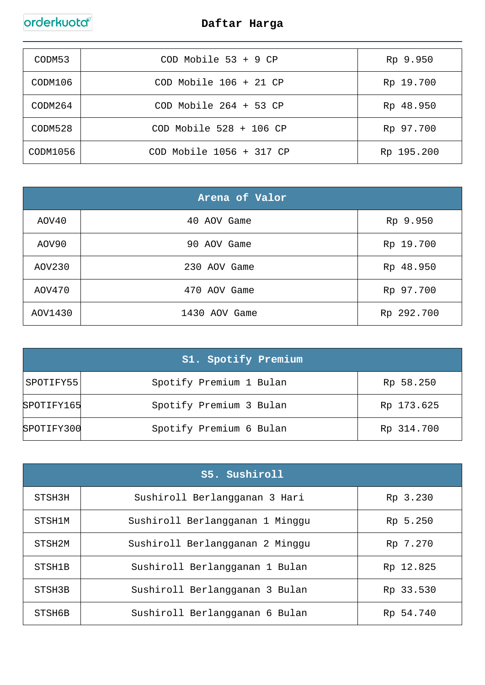| CODM53   | $COD$ Mobile 53 + 9 $CP$     | Rp 9.950   |
|----------|------------------------------|------------|
| CODM106  | $COD$ Mobile $106 + 21$ CP   | Rp 19.700  |
| CODM264  | $COD$ Mobile $264 + 53$ CP   | Rp 48.950  |
| CODM528  | $COD$ Mobile 528 + 106 $CP$  | Rp 97.700  |
| CODM1056 | $COD$ Mobile $1056 + 317$ CP | Rp 195.200 |

| Arena of Valor |               |            |
|----------------|---------------|------------|
| AOV40          | 40 AOV Game   | Rp 9.950   |
| AOV90          | 90 AOV Game   | Rp 19.700  |
| AOV230         | 230 AOV Game  | Rp 48.950  |
| AOV470         | 470 AOV Game  | Rp 97.700  |
| AOV1430        | 1430 AOV Game | Rp 292.700 |

|            | S1. Spotify Premium     |            |
|------------|-------------------------|------------|
| SPOTIFY55  | Spotify Premium 1 Bulan | Rp 58.250  |
| SPOTIFY165 | Spotify Premium 3 Bulan | Rp 173.625 |
| SPOTIFY300 | Spotify Premium 6 Bulan | Rp 314.700 |

| S5. Sushiroll      |                                 |           |
|--------------------|---------------------------------|-----------|
| STSH3H             | Sushiroll Berlangganan 3 Hari   | Rp 3.230  |
| STSH1M             | Sushiroll Berlangganan 1 Minggu | Rp 5.250  |
| STSH <sub>2M</sub> | Sushiroll Berlangganan 2 Minggu | Rp 7.270  |
| STSH1B             | Sushiroll Berlangganan 1 Bulan  | Rp 12.825 |
| STSH3B             | Sushiroll Berlangganan 3 Bulan  | Rp 33.530 |
| STSH6B             | Sushiroll Berlangganan 6 Bulan  | Rp 54.740 |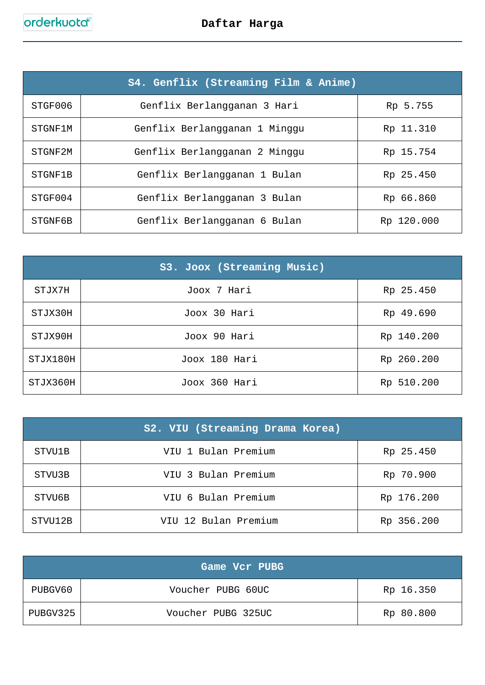| S4. Genflix (Streaming Film & Anime) |                               |            |
|--------------------------------------|-------------------------------|------------|
| STGF006                              | Genflix Berlangganan 3 Hari   | Rp 5.755   |
| STGNF1M                              | Genflix Berlangganan 1 Minggu | Rp 11.310  |
| STGNF2M                              | Genflix Berlangganan 2 Minggu | Rp 15.754  |
| STGNF1B                              | Genflix Berlangganan 1 Bulan  | Rp 25.450  |
| STGF004                              | Genflix Berlangganan 3 Bulan  | Rp 66.860  |
| STGNF6B                              | Genflix Berlangganan 6 Bulan  | Rp 120.000 |

|          | S3. Joox (Streaming Music) |            |
|----------|----------------------------|------------|
| STJX7H   | Joox 7 Hari                | Rp 25.450  |
| STJX30H  | Joox 30 Hari               | Rp 49.690  |
| STJX90H  | Joox 90 Hari               | Rp 140.200 |
| STJX180H | Joox 180 Hari              | Rp 260.200 |
| STJX360H | Joox 360 Hari              | Rp 510.200 |

|         | S2. VIU (Streaming Drama Korea) |            |
|---------|---------------------------------|------------|
| STVU1B  | VIU 1 Bulan Premium             | Rp 25.450  |
| STVU3B  | VIU 3 Bulan Premium             | Rp 70.900  |
| STVU6B  | VIU 6 Bulan Premium             | Rp 176.200 |
| STVU12B | VIU 12 Bulan Premium            | Rp 356.200 |

|          | Game Vcr PUBG      |           |
|----------|--------------------|-----------|
| PUBGV60  | Voucher PUBG 60UC  | Rp 16.350 |
| PUBGV325 | Voucher PUBG 325UC | Rp 80.800 |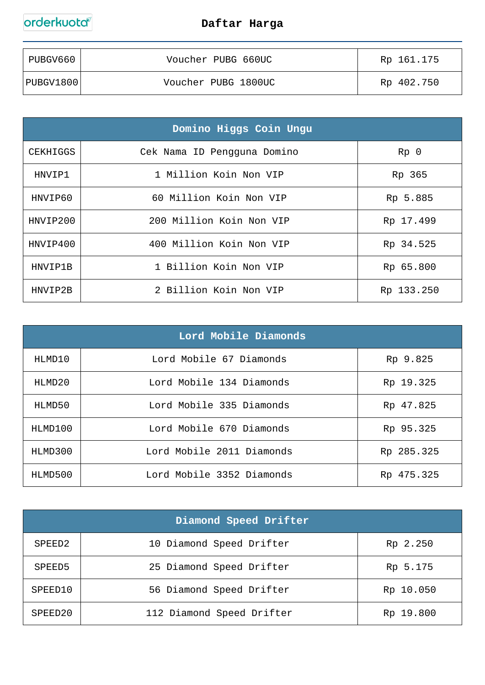| PUBGV660  | Voucher PUBG 660UC  | Rp 161.175 |
|-----------|---------------------|------------|
| PUBGV1800 | Voucher PUBG 1800UC | Rp 402.750 |

| Domino Higgs Coin Ungu |                             |                 |
|------------------------|-----------------------------|-----------------|
| CEKHIGGS               | Cek Nama ID Pengguna Domino | Rp <sub>0</sub> |
| HNVIP1                 | 1 Million Koin Non VIP      | Rp 365          |
| HNVIP60                | 60 Million Koin Non VIP     | Rp 5.885        |
| HNVIP200               | 200 Million Koin Non VIP    | Rp 17.499       |
| HNVIP400               | 400 Million Koin Non VIP    | Rp 34.525       |
| HNVIP1B                | 1 Billion Koin Non VIP      | Rp 65.800       |
| HNVIP2B                | 2 Billion Koin Non VIP      | Rp 133.250      |

| Lord Mobile Diamonds |                           |            |
|----------------------|---------------------------|------------|
| HLMD10               | Lord Mobile 67 Diamonds   | Rp 9.825   |
| HLMD20               | Lord Mobile 134 Diamonds  | Rp 19.325  |
| HLMD50               | Lord Mobile 335 Diamonds  | Rp 47.825  |
| HIMD100              | Lord Mobile 670 Diamonds  | Rp 95.325  |
| HLMD300              | Lord Mobile 2011 Diamonds | Rp 285.325 |
| HLMD500              | Lord Mobile 3352 Diamonds | Rp 475.325 |

| Diamond Speed Drifter |                           |           |
|-----------------------|---------------------------|-----------|
| SPEED <sub>2</sub>    | 10 Diamond Speed Drifter  | Rp 2.250  |
| SPEED5                | 25 Diamond Speed Drifter  | Rp 5.175  |
| SPEED10               | 56 Diamond Speed Drifter  | Rp 10.050 |
| SPEED20               | 112 Diamond Speed Drifter | Rp 19.800 |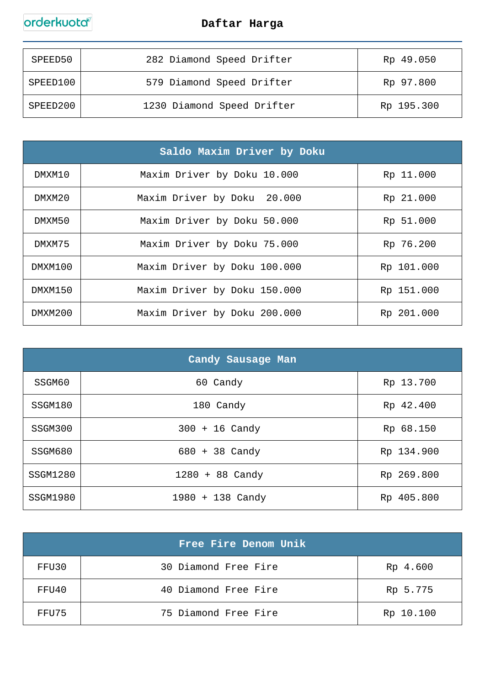

| SPEED50  | 282 Diamond Speed Drifter  | Rp 49.050  |
|----------|----------------------------|------------|
| SPEED100 | 579 Diamond Speed Drifter  | Rp 97.800  |
| SPEED200 | 1230 Diamond Speed Drifter | Rp 195.300 |

| Saldo Maxim Driver by Doku |                              |            |
|----------------------------|------------------------------|------------|
| DMXM10                     | Maxim Driver by Doku 10.000  | Rp 11.000  |
| DMXM20                     | Maxim Driver by Doku 20.000  | Rp 21.000  |
| DMXM50                     | Maxim Driver by Doku 50.000  | Rp 51.000  |
| DMXM75                     | Maxim Driver by Doku 75.000  | Rp 76.200  |
| DMXM100                    | Maxim Driver by Doku 100.000 | Rp 101.000 |
| DMXM150                    | Maxim Driver by Doku 150.000 | Rp 151.000 |
| DMXM200                    | Maxim Driver by Doku 200.000 | Rp 201.000 |

| Candy Sausage Man |                    |            |
|-------------------|--------------------|------------|
| SSGM60            | 60 Candy           | Rp 13.700  |
| SSGM180           | 180 Candy          | Rp 42.400  |
| SSGM300           | $300 + 16$ Candy   | Rp 68.150  |
| SSGM680           | 680 + 38 Candy     | Rp 134.900 |
| SSGM1280          | $1280 + 88$ Candy  | Rp 269.800 |
| SSGM1980          | $1980 + 138$ Candy | Rp 405.800 |

|       | Free Fire Denom Unik |           |
|-------|----------------------|-----------|
| FFU30 | 30 Diamond Free Fire | Rp 4.600  |
| FFU40 | 40 Diamond Free Fire | Rp 5.775  |
| FFU75 | 75 Diamond Free Fire | Rp 10.100 |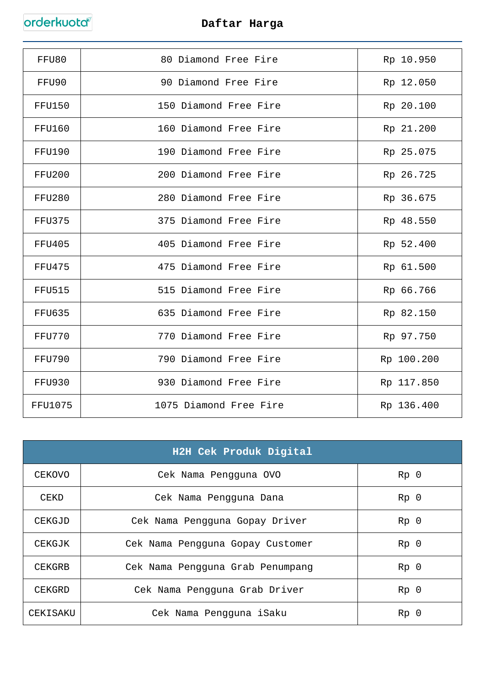| FFU80          | 80 Diamond Free Fire   | Rp 10.950  |
|----------------|------------------------|------------|
| FFU90          | 90 Diamond Free Fire   | Rp 12.050  |
| <b>FFU150</b>  | 150 Diamond Free Fire  | Rp 20.100  |
| <b>FFU160</b>  | 160 Diamond Free Fire  | Rp 21.200  |
| FFU190         | 190 Diamond Free Fire  | Rp 25.075  |
| <b>FFU200</b>  | 200 Diamond Free Fire  | Rp 26.725  |
| <b>FFU280</b>  | 280 Diamond Free Fire  | Rp 36.675  |
| FFU375         | 375 Diamond Free Fire  | Rp 48.550  |
| <b>FFU405</b>  | 405 Diamond Free Fire  | Rp 52.400  |
| <b>FFU475</b>  | 475 Diamond Free Fire  | Rp 61.500  |
| <b>FFU515</b>  | 515 Diamond Free Fire  | Rp 66.766  |
| <b>FFU635</b>  | 635 Diamond Free Fire  | Rp 82.150  |
| <b>FFU770</b>  | 770 Diamond Free Fire  | Rp 97.750  |
| <b>FFU790</b>  | 790 Diamond Free Fire  | Rp 100.200 |
| <b>FFU930</b>  | 930 Diamond Free Fire  | Rp 117.850 |
| <b>FFU1075</b> | 1075 Diamond Free Fire | Rp 136.400 |

| H2H Cek Produk Digital |                                  |                 |
|------------------------|----------------------------------|-----------------|
| CEKOVO                 | Cek Nama Pengguna OVO            | Rp <sub>0</sub> |
| CEKD                   | Cek Nama Pengguna Dana           | Rp <sub>0</sub> |
| CEKGJD                 | Cek Nama Pengguna Gopay Driver   | Rp <sub>0</sub> |
| CEKGJK                 | Cek Nama Pengguna Gopay Customer | Rp <sub>0</sub> |
| CEKGRB                 | Cek Nama Pengguna Grab Penumpang | Rp <sub>0</sub> |
| CEKGRD                 | Cek Nama Pengguna Grab Driver    | Rp <sub>0</sub> |
| CEKISAKU               | Cek Nama Pengguna iSaku          | Rp <sub>0</sub> |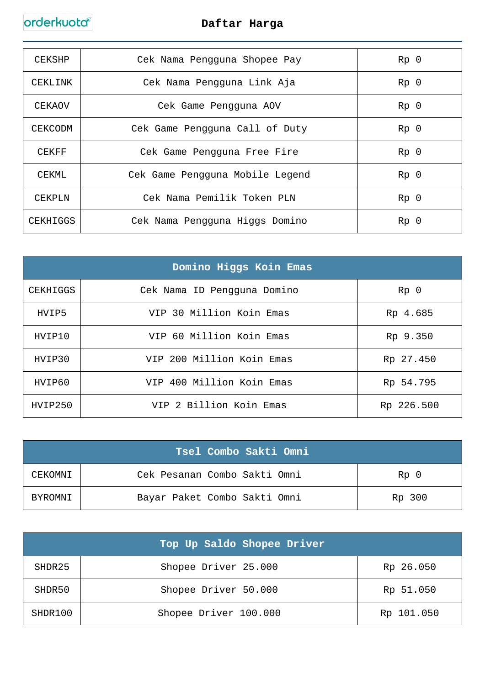| CEKSHP   | Cek Nama Pengguna Shopee Pay    | Rp <sub>0</sub> |
|----------|---------------------------------|-----------------|
| CEKLINK  | Cek Nama Pengguna Link Aja      | Rp <sub>0</sub> |
| CEKAOV   | Cek Game Pengguna AOV           | Rp <sub>0</sub> |
| CEKCODM  | Cek Game Pengguna Call of Duty  | Rp <sub>0</sub> |
| CEKFF    | Cek Game Pengguna Free Fire     | Rp <sub>0</sub> |
| CEKML    | Cek Game Pengguna Mobile Legend | Rp <sub>0</sub> |
| CEKPLN   | Cek Nama Pemilik Token PLN      | Rp <sub>0</sub> |
| CEKHIGGS | Cek Nama Pengguna Higgs Domino  | Rp <sub>0</sub> |

| Domino Higgs Koin Emas |                             |                 |  |
|------------------------|-----------------------------|-----------------|--|
| CEKHIGGS               | Cek Nama ID Pengguna Domino | Rp <sub>0</sub> |  |
| HVIP5                  | VIP 30 Million Koin Emas    | Rp 4.685        |  |
| HVIP10                 | VIP 60 Million Koin Emas    | Rp 9.350        |  |
| HVIP30                 | VIP 200 Million Koin Emas   | Rp 27.450       |  |
| HVIP60                 | VIP 400 Million Koin Emas   | Rp 54.795       |  |
| HVIP250                | VIP 2 Billion Koin Emas     | Rp 226.500      |  |

|         | Tsel Combo Sakti Omni        |                 |
|---------|------------------------------|-----------------|
| CEKOMNI | Cek Pesanan Combo Sakti Omni | Rp <sub>0</sub> |
| BYROMNI | Bayar Paket Combo Sakti Omni | Rp 300          |

|         | Top Up Saldo Shopee Driver |            |
|---------|----------------------------|------------|
| SHDR25  | Shopee Driver 25.000       | Rp 26.050  |
| SHDR50  | Shopee Driver 50.000       | Rp 51.050  |
| SHDR100 | Shopee Driver 100.000      | Rp 101.050 |